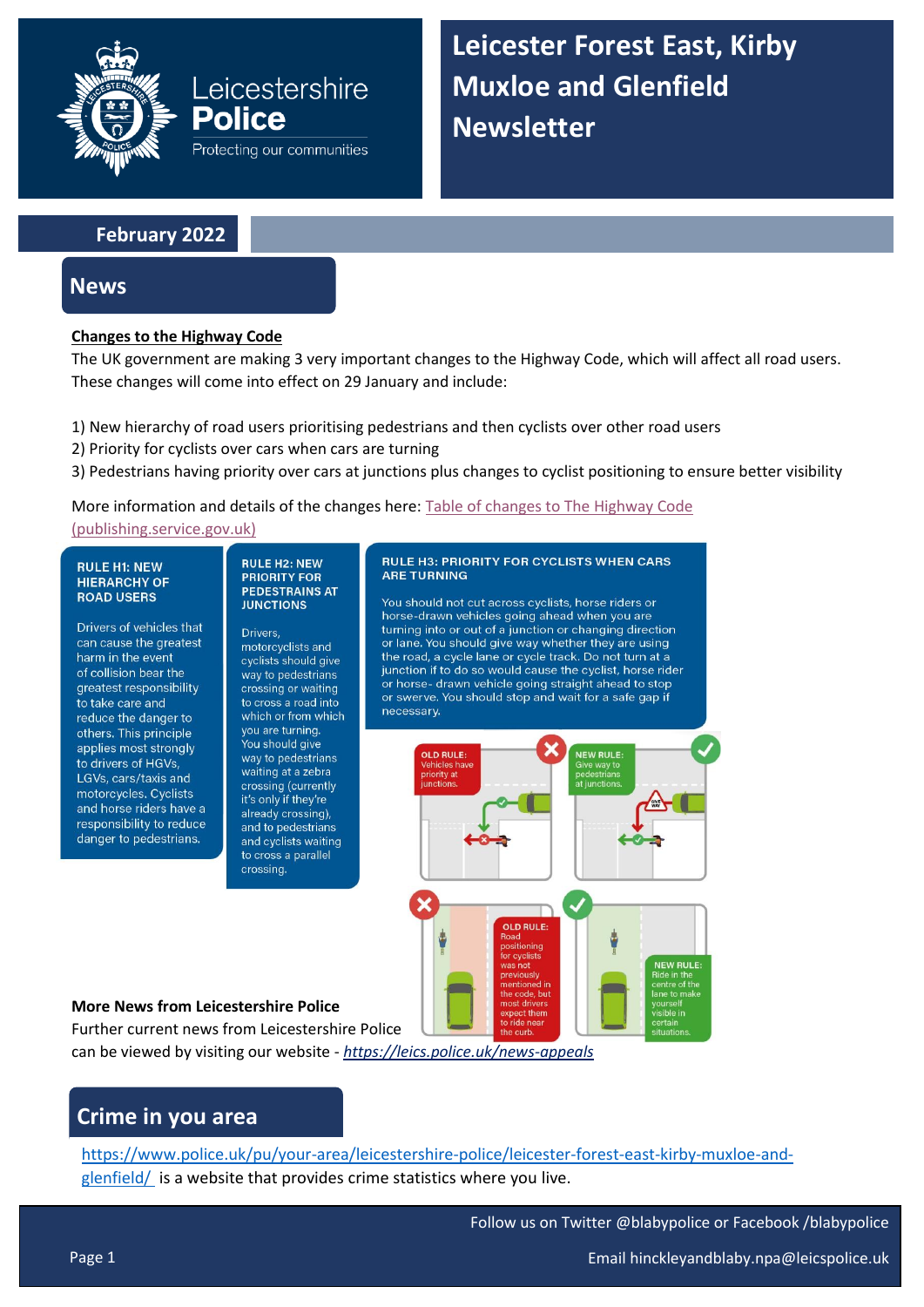

**Leicester Forest East, Kirby Muxloe and Glenfield Newsletter**

## **February 2022**

# **News**

## **Changes to the Highway Code**

The UK government are making 3 very important changes to the Highway Code, which will affect all road users. These changes will come into effect on 29 January and include:

- 1) New hierarchy of road users prioritising pedestrians and then cyclists over other road users
- 2) Priority for cyclists over cars when cars are turning

Leicestershire

Protecting our communities

Police

3) Pedestrians having priority over cars at junctions plus changes to cyclist positioning to ensure better visibility

## More information and details of the changes here: [Table of changes to The Highway Code](https://assets.publishing.service.gov.uk/government/uploads/system/uploads/attachment_data/file/1037306/table-of-change-to-the-highway-code.pdf?fbclid=IwAR11AjN2y6ZcdkdE37g17-wBj4UFiddJdMb3TBHbg8MD5bG34OzdyGvLpnQ)

[\(publishing.service.gov.uk\)](https://assets.publishing.service.gov.uk/government/uploads/system/uploads/attachment_data/file/1037306/table-of-change-to-the-highway-code.pdf?fbclid=IwAR11AjN2y6ZcdkdE37g17-wBj4UFiddJdMb3TBHbg8MD5bG34OzdyGvLpnQ)

#### **RULE H1: NEW HIFRARCHY OF ROAD USERS**

Drivers of vehicles that can cause the greatest harm in the event of collision bear the greatest responsibility to take care and reduce the danger to others. This principle applies most strongly to drivers of HGVs, LGVs, cars/taxis and motorcycles. Cyclists and horse riders have a responsibility to reduce danger to pedestrians.

#### **RULE H2: NEW PRIORITY FOR PEDESTRAINS AT JUNCTIONS**

Drivers, motorcyclists and cyclists should give way to pedestrians crossing or waiting to cross a road into which or from which you are turning. You should give way to pedestrians waiting at a zebra crossing (currently it's only if they're already crossing), and to pedestrians and cyclists waiting to cross a parallel crossing.

### **RULE H3: PRIORITY FOR CYCLISTS WHEN CARS ARE TURNING**

You should not cut across cyclists, horse riders or horse-drawn vehicles going ahead when you are turning into or out of a junction or changing direction or lane. You should give way whether they are using the road, a cycle lane or cycle track. Do not turn at a junction if to do so would cause the cyclist, horse rider or horse- drawn vehicle going straight ahead to stop or swerve. You should stop and wait for a safe gap if necessary.



### **More News from Leicestershire Police**

Further current news from Leicestershire Police can be viewed by visiting our website - *<https://leics.police.uk/news-appeals>*

# **Crime in you area**

[https://www.police.uk/pu/your-area/leicestershire-police/leicester-forest-east-kirby-muxloe-and](https://www.police.uk/pu/your-area/leicestershire-police/leicester-forest-east-kirby-muxloe-and-glenfield/)[glenfield/](https://www.police.uk/pu/your-area/leicestershire-police/leicester-forest-east-kirby-muxloe-and-glenfield/) is a website that provides crime statistics where you live.

Follow us on Twitter @blabypolice or Facebook /blabypolice